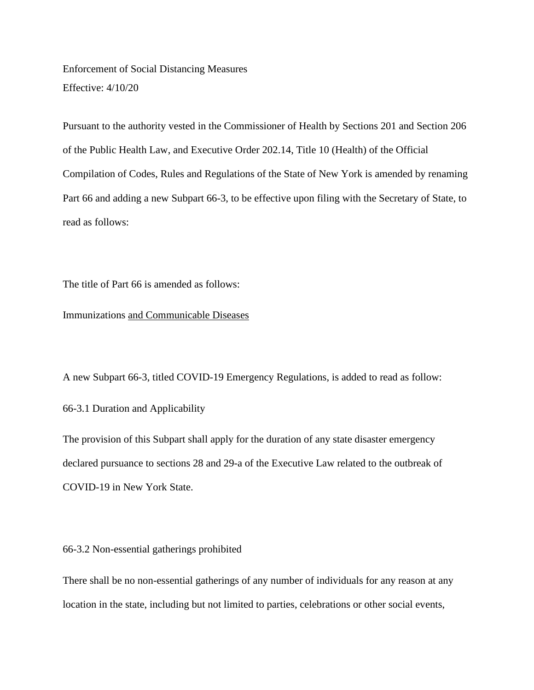Enforcement of Social Distancing Measures Effective: 4/10/20

Pursuant to the authority vested in the Commissioner of Health by Sections 201 and Section 206 of the Public Health Law, and Executive Order 202.14, Title 10 (Health) of the Official Compilation of Codes, Rules and Regulations of the State of New York is amended by renaming Part 66 and adding a new Subpart 66-3, to be effective upon filing with the Secretary of State, to read as follows:

The title of Part 66 is amended as follows:

## Immunizations and Communicable Diseases

A new Subpart 66-3, titled COVID-19 Emergency Regulations, is added to read as follow: 66-3.1 Duration and Applicability

The provision of this Subpart shall apply for the duration of any state disaster emergency declared pursuance to sections 28 and 29-a of the Executive Law related to the outbreak of COVID-19 in New York State.

## 66-3.2 Non-essential gatherings prohibited

There shall be no non-essential gatherings of any number of individuals for any reason at any location in the state, including but not limited to parties, celebrations or other social events,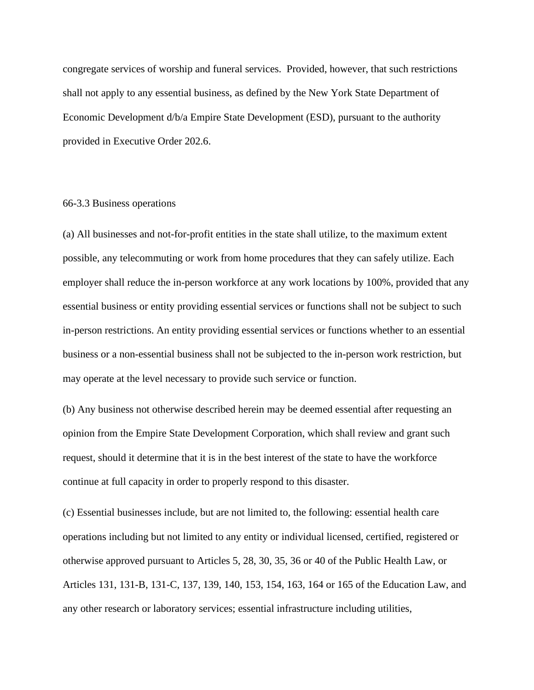congregate services of worship and funeral services. Provided, however, that such restrictions shall not apply to any essential business, as defined by the New York State Department of Economic Development d/b/a Empire State Development (ESD), pursuant to the authority provided in Executive Order 202.6.

## 66-3.3 Business operations

(a) All businesses and not-for-profit entities in the state shall utilize, to the maximum extent possible, any telecommuting or work from home procedures that they can safely utilize. Each employer shall reduce the in-person workforce at any work locations by 100%, provided that any essential business or entity providing essential services or functions shall not be subject to such in-person restrictions. An entity providing essential services or functions whether to an essential business or a non-essential business shall not be subjected to the in-person work restriction, but may operate at the level necessary to provide such service or function.

(b) Any business not otherwise described herein may be deemed essential after requesting an opinion from the Empire State Development Corporation, which shall review and grant such request, should it determine that it is in the best interest of the state to have the workforce continue at full capacity in order to properly respond to this disaster.

(c) Essential businesses include, but are not limited to, the following: essential health care operations including but not limited to any entity or individual licensed, certified, registered or otherwise approved pursuant to Articles 5, 28, 30, 35, 36 or 40 of the Public Health Law, or Articles 131, 131-B, 131-C, 137, 139, 140, 153, 154, 163, 164 or 165 of the Education Law, and any other research or laboratory services; essential infrastructure including utilities,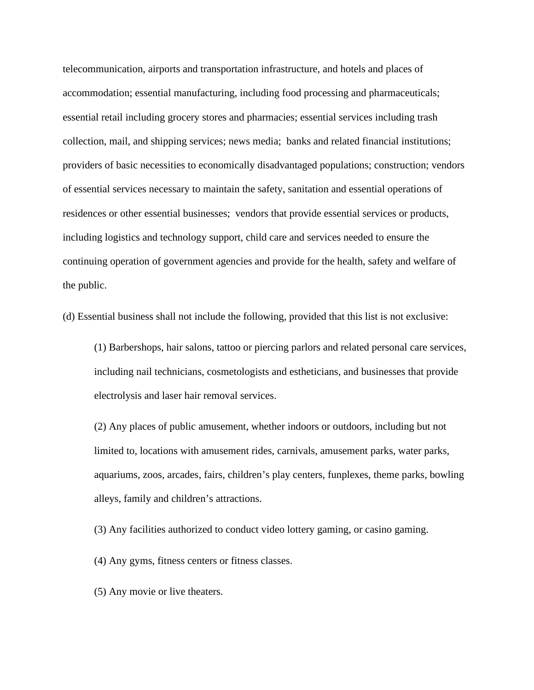telecommunication, airports and transportation infrastructure, and hotels and places of accommodation; essential manufacturing, including food processing and pharmaceuticals; essential retail including grocery stores and pharmacies; essential services including trash collection, mail, and shipping services; news media; banks and related financial institutions; providers of basic necessities to economically disadvantaged populations; construction; vendors of essential services necessary to maintain the safety, sanitation and essential operations of residences or other essential businesses; vendors that provide essential services or products, including logistics and technology support, child care and services needed to ensure the continuing operation of government agencies and provide for the health, safety and welfare of the public.

(d) Essential business shall not include the following, provided that this list is not exclusive:

(1) Barbershops, hair salons, tattoo or piercing parlors and related personal care services, including nail technicians, cosmetologists and estheticians, and businesses that provide electrolysis and laser hair removal services.

(2) Any places of public amusement, whether indoors or outdoors, including but not limited to, locations with amusement rides, carnivals, amusement parks, water parks, aquariums, zoos, arcades, fairs, children's play centers, funplexes, theme parks, bowling alleys, family and children's attractions.

(3) Any facilities authorized to conduct video lottery gaming, or casino gaming.

(4) Any gyms, fitness centers or fitness classes.

(5) Any movie or live theaters.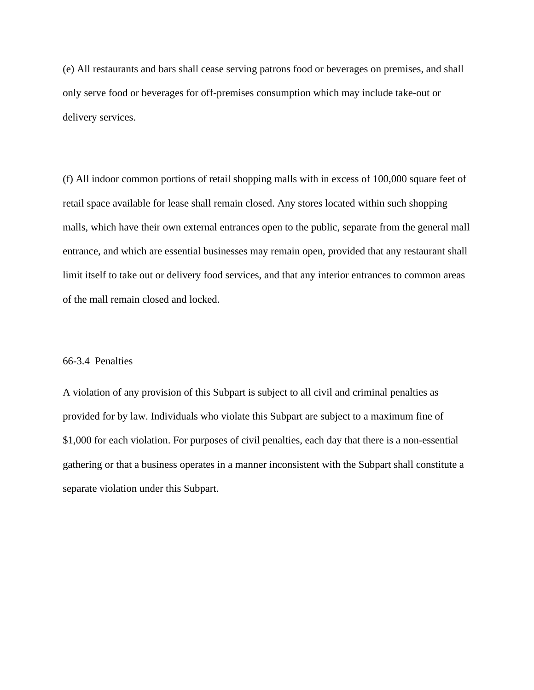(e) All restaurants and bars shall cease serving patrons food or beverages on premises, and shall only serve food or beverages for off-premises consumption which may include take-out or delivery services.

(f) All indoor common portions of retail shopping malls with in excess of 100,000 square feet of retail space available for lease shall remain closed. Any stores located within such shopping malls, which have their own external entrances open to the public, separate from the general mall entrance, and which are essential businesses may remain open, provided that any restaurant shall limit itself to take out or delivery food services, and that any interior entrances to common areas of the mall remain closed and locked.

## 66-3.4 Penalties

A violation of any provision of this Subpart is subject to all civil and criminal penalties as provided for by law. Individuals who violate this Subpart are subject to a maximum fine of \$1,000 for each violation. For purposes of civil penalties, each day that there is a non-essential gathering or that a business operates in a manner inconsistent with the Subpart shall constitute a separate violation under this Subpart.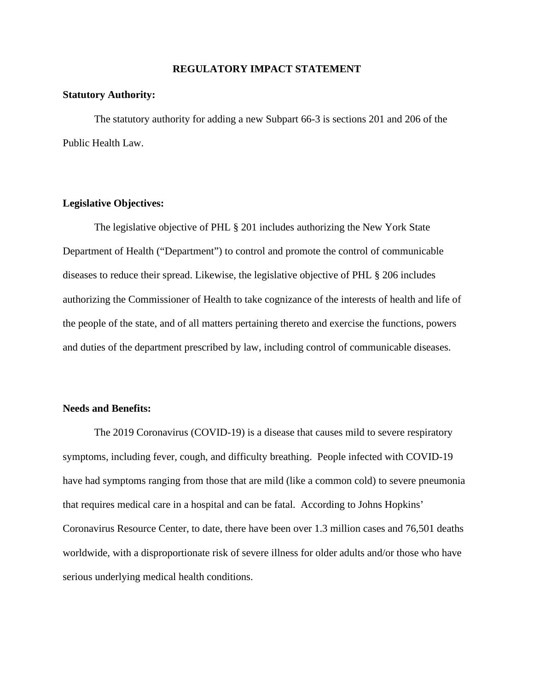#### **REGULATORY IMPACT STATEMENT**

#### **Statutory Authority:**

 The statutory authority for adding a new Subpart 66-3 is sections 201 and 206 of the Public Health Law.

## **Legislative Objectives:**

 The legislative objective of PHL § 201 includes authorizing the New York State Department of Health ("Department") to control and promote the control of communicable diseases to reduce their spread. Likewise, the legislative objective of PHL § 206 includes authorizing the Commissioner of Health to take cognizance of the interests of health and life of the people of the state, and of all matters pertaining thereto and exercise the functions, powers and duties of the department prescribed by law, including control of communicable diseases.

## **Needs and Benefits:**

The 2019 Coronavirus (COVID-19) is a disease that causes mild to severe respiratory symptoms, including fever, cough, and difficulty breathing. People infected with COVID-19 have had symptoms ranging from those that are mild (like a common cold) to severe pneumonia that requires medical care in a hospital and can be fatal. According to Johns Hopkins' Coronavirus Resource Center, to date, there have been over 1.3 million cases and 76,501 deaths worldwide, with a disproportionate risk of severe illness for older adults and/or those who have serious underlying medical health conditions.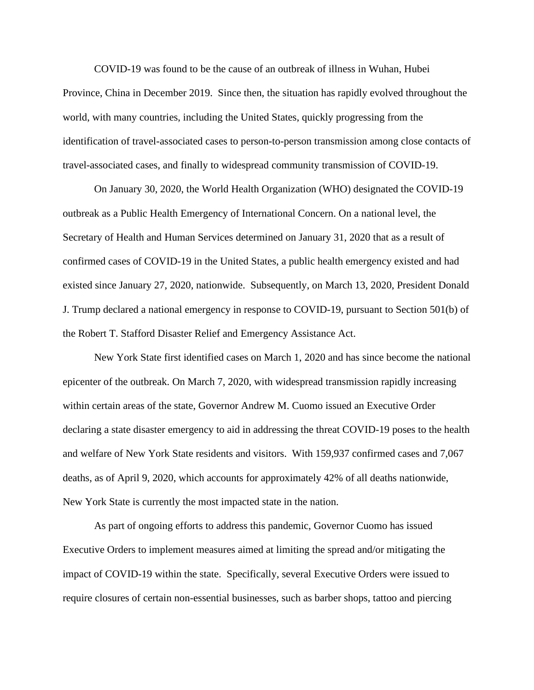COVID-19 was found to be the cause of an outbreak of illness in Wuhan, Hubei Province, China in December 2019. Since then, the situation has rapidly evolved throughout the world, with many countries, including the United States, quickly progressing from the identification of travel-associated cases to person-to-person transmission among close contacts of travel-associated cases, and finally to widespread community transmission of COVID-19.

On January 30, 2020, the World Health Organization (WHO) designated the COVID-19 outbreak as a Public Health Emergency of International Concern. On a national level, the Secretary of Health and Human Services determined on January 31, 2020 that as a result of confirmed cases of COVID-19 in the United States, a public health emergency existed and had existed since January 27, 2020, nationwide. Subsequently, on March 13, 2020, President Donald J. Trump declared a national emergency in response to COVID-19, pursuant to Section 501(b) of the Robert T. Stafford Disaster Relief and Emergency Assistance Act.

New York State first identified cases on March 1, 2020 and has since become the national epicenter of the outbreak. On March 7, 2020, with widespread transmission rapidly increasing within certain areas of the state, Governor Andrew M. Cuomo issued an Executive Order declaring a state disaster emergency to aid in addressing the threat COVID-19 poses to the health and welfare of New York State residents and visitors. With 159,937 confirmed cases and 7,067 deaths, as of April 9, 2020, which accounts for approximately 42% of all deaths nationwide, New York State is currently the most impacted state in the nation.

As part of ongoing efforts to address this pandemic, Governor Cuomo has issued Executive Orders to implement measures aimed at limiting the spread and/or mitigating the impact of COVID-19 within the state. Specifically, several Executive Orders were issued to require closures of certain non-essential businesses, such as barber shops, tattoo and piercing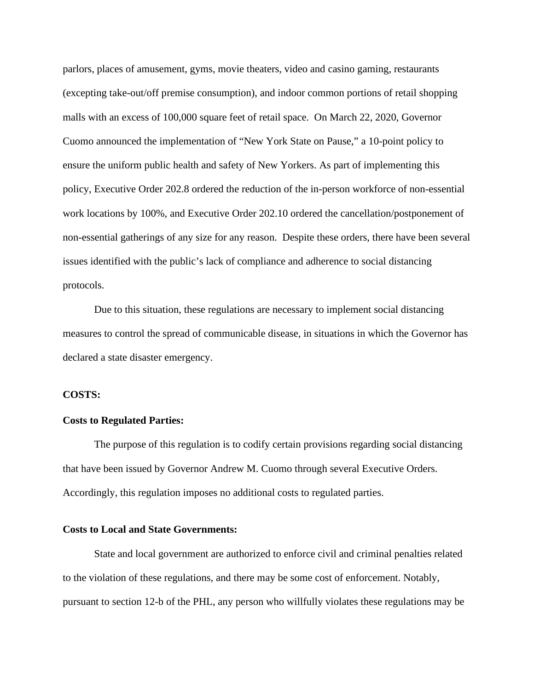parlors, places of amusement, gyms, movie theaters, video and casino gaming, restaurants (excepting take-out/off premise consumption), and indoor common portions of retail shopping malls with an excess of 100,000 square feet of retail space. On March 22, 2020, Governor Cuomo announced the implementation of "New York State on Pause," a 10-point policy to ensure the uniform public health and safety of New Yorkers. As part of implementing this policy, Executive Order 202.8 ordered the reduction of the in-person workforce of non-essential work locations by 100%, and Executive Order 202.10 ordered the cancellation/postponement of non-essential gatherings of any size for any reason. Despite these orders, there have been several issues identified with the public's lack of compliance and adherence to social distancing protocols.

 Due to this situation, these regulations are necessary to implement social distancing measures to control the spread of communicable disease, in situations in which the Governor has declared a state disaster emergency.

## **COSTS:**

#### **Costs to Regulated Parties:**

The purpose of this regulation is to codify certain provisions regarding social distancing that have been issued by Governor Andrew M. Cuomo through several Executive Orders. Accordingly, this regulation imposes no additional costs to regulated parties.

## **Costs to Local and State Governments:**

 State and local government are authorized to enforce civil and criminal penalties related to the violation of these regulations, and there may be some cost of enforcement. Notably, pursuant to section 12-b of the PHL, any person who willfully violates these regulations may be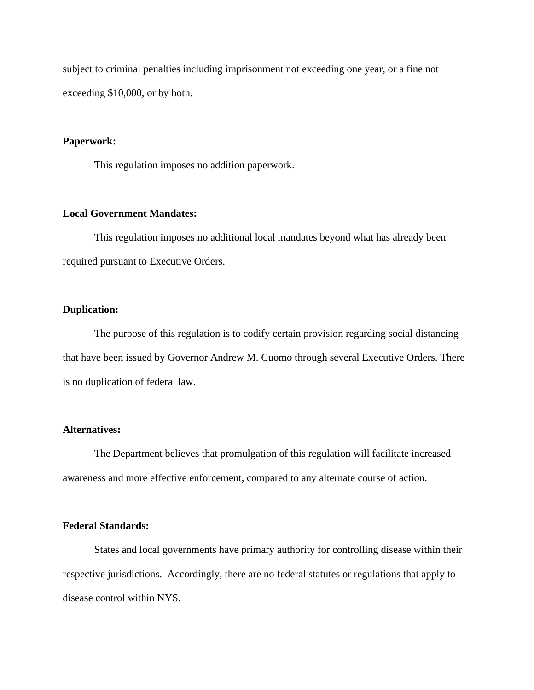subject to criminal penalties including imprisonment not exceeding one year, or a fine not exceeding \$10,000, or by both.

### **Paperwork:**

This regulation imposes no addition paperwork.

## **Local Government Mandates:**

 This regulation imposes no additional local mandates beyond what has already been required pursuant to Executive Orders.

## **Duplication:**

 The purpose of this regulation is to codify certain provision regarding social distancing that have been issued by Governor Andrew M. Cuomo through several Executive Orders. There is no duplication of federal law.

## **Alternatives:**

 The Department believes that promulgation of this regulation will facilitate increased awareness and more effective enforcement, compared to any alternate course of action.

## **Federal Standards:**

States and local governments have primary authority for controlling disease within their respective jurisdictions. Accordingly, there are no federal statutes or regulations that apply to disease control within NYS.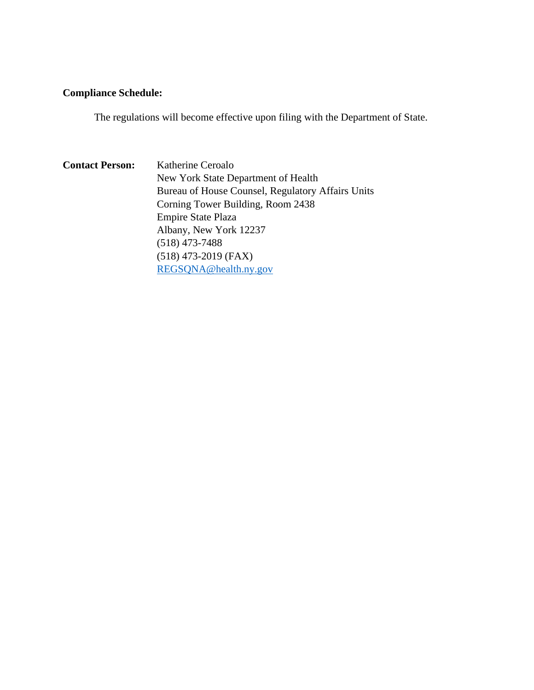# **Compliance Schedule:**

The regulations will become effective upon filing with the Department of State.

**Contact Person:** Katherine Ceroalo New York State Department of Health Bureau of House Counsel, Regulatory Affairs Units Corning Tower Building, Room 2438 Empire State Plaza Albany, New York 12237 (518) 473-7488 (518) 473-2019 (FAX) [REGSQNA@health.ny.gov](mailto:REGSQNA@health.ny.gov)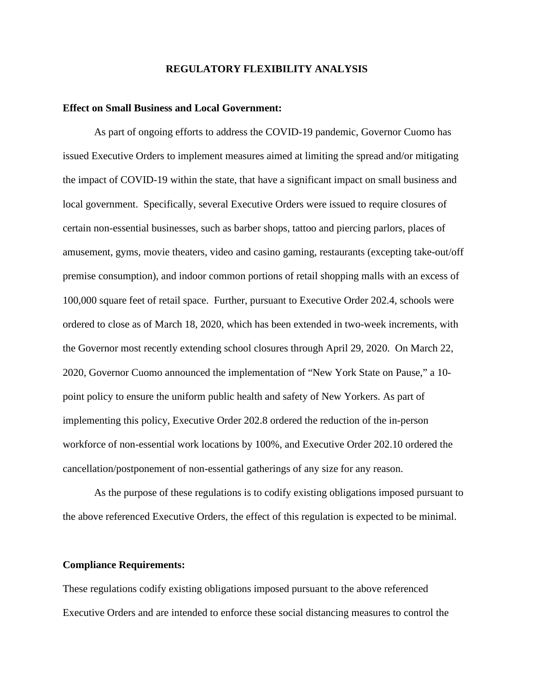#### **REGULATORY FLEXIBILITY ANALYSIS**

#### **Effect on Small Business and Local Government:**

 As part of ongoing efforts to address the COVID-19 pandemic, Governor Cuomo has issued Executive Orders to implement measures aimed at limiting the spread and/or mitigating the impact of COVID-19 within the state, that have a significant impact on small business and local government. Specifically, several Executive Orders were issued to require closures of certain non-essential businesses, such as barber shops, tattoo and piercing parlors, places of amusement, gyms, movie theaters, video and casino gaming, restaurants (excepting take-out/off premise consumption), and indoor common portions of retail shopping malls with an excess of 100,000 square feet of retail space. Further, pursuant to Executive Order 202.4, schools were ordered to close as of March 18, 2020, which has been extended in two-week increments, with the Governor most recently extending school closures through April 29, 2020. On March 22, 2020, Governor Cuomo announced the implementation of "New York State on Pause," a 10 point policy to ensure the uniform public health and safety of New Yorkers. As part of implementing this policy, Executive Order 202.8 ordered the reduction of the in-person workforce of non-essential work locations by 100%, and Executive Order 202.10 ordered the cancellation/postponement of non-essential gatherings of any size for any reason.

 As the purpose of these regulations is to codify existing obligations imposed pursuant to the above referenced Executive Orders, the effect of this regulation is expected to be minimal.

#### **Compliance Requirements:**

These regulations codify existing obligations imposed pursuant to the above referenced Executive Orders and are intended to enforce these social distancing measures to control the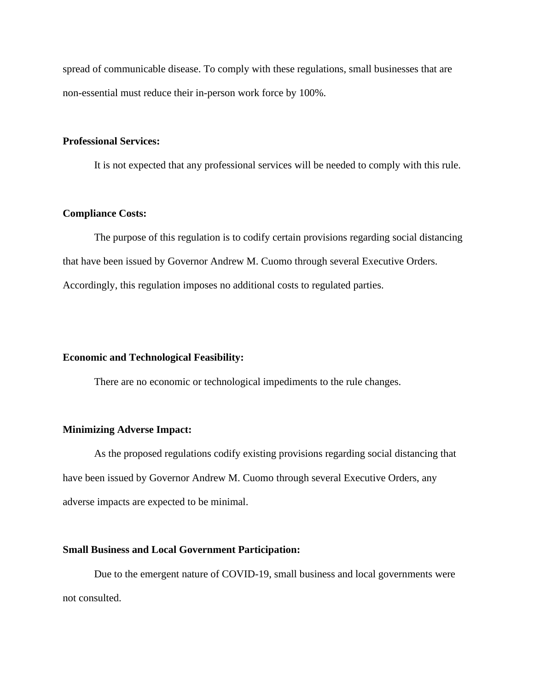spread of communicable disease. To comply with these regulations, small businesses that are non-essential must reduce their in-person work force by 100%.

## **Professional Services:**

It is not expected that any professional services will be needed to comply with this rule.

#### **Compliance Costs:**

The purpose of this regulation is to codify certain provisions regarding social distancing that have been issued by Governor Andrew M. Cuomo through several Executive Orders. Accordingly, this regulation imposes no additional costs to regulated parties.

## **Economic and Technological Feasibility:**

There are no economic or technological impediments to the rule changes.

## **Minimizing Adverse Impact:**

As the proposed regulations codify existing provisions regarding social distancing that have been issued by Governor Andrew M. Cuomo through several Executive Orders, any adverse impacts are expected to be minimal.

#### **Small Business and Local Government Participation:**

Due to the emergent nature of COVID-19, small business and local governments were not consulted.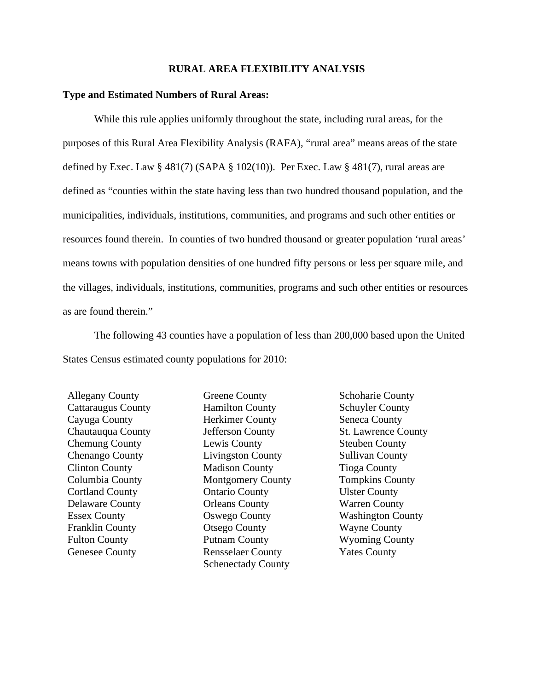#### **RURAL AREA FLEXIBILITY ANALYSIS**

#### **Type and Estimated Numbers of Rural Areas:**

While this rule applies uniformly throughout the state, including rural areas, for the purposes of this Rural Area Flexibility Analysis (RAFA), "rural area" means areas of the state defined by Exec. Law  $\S$  481(7) (SAPA  $\S$  102(10)). Per Exec. Law  $\S$  481(7), rural areas are defined as "counties within the state having less than two hundred thousand population, and the municipalities, individuals, institutions, communities, and programs and such other entities or resources found therein. In counties of two hundred thousand or greater population 'rural areas' means towns with population densities of one hundred fifty persons or less per square mile, and the villages, individuals, institutions, communities, programs and such other entities or resources as are found therein."

The following 43 counties have a population of less than 200,000 based upon the United States Census estimated county populations for 2010:

Allegany County **Greene County** Schoharie County

Cattaraugus County Hamilton County Schuyler County Cayuga County Herkimer County Seneca County Chautauqua County Jefferson County St. Lawrence County Chemung County **Lewis County** Chemung County **Chemung** County Chenango County Livingston County Sullivan County Clinton County Madison County Tioga County Columbia County Montgomery County Tompkins County Cortland County Ontario County Ulster County Delaware County Orleans County Warren County Essex County Oswego County Washington County Franklin County **County** Otsego County Wayne County Fulton County **Putnam County** Wyoming County Genesee County Rensselaer County Yates County Schenectady County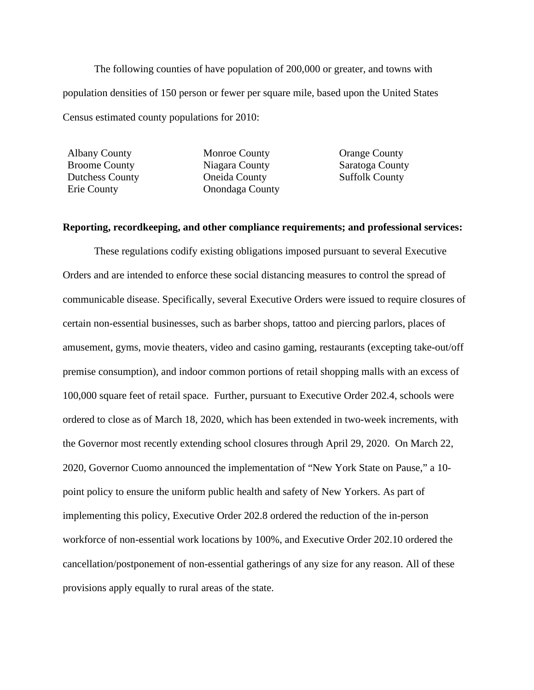The following counties of have population of 200,000 or greater, and towns with population densities of 150 person or fewer per square mile, based upon the United States Census estimated county populations for 2010:

Albany County **Monroe County County Orange County** 

Broome County **Niagara County** Saratoga County Dutchess County **Oneida County** Suffolk County Erie County Onondaga County

## **Reporting, recordkeeping, and other compliance requirements; and professional services:**

These regulations codify existing obligations imposed pursuant to several Executive Orders and are intended to enforce these social distancing measures to control the spread of communicable disease. Specifically, several Executive Orders were issued to require closures of certain non-essential businesses, such as barber shops, tattoo and piercing parlors, places of amusement, gyms, movie theaters, video and casino gaming, restaurants (excepting take-out/off premise consumption), and indoor common portions of retail shopping malls with an excess of 100,000 square feet of retail space. Further, pursuant to Executive Order 202.4, schools were ordered to close as of March 18, 2020, which has been extended in two-week increments, with the Governor most recently extending school closures through April 29, 2020. On March 22, 2020, Governor Cuomo announced the implementation of "New York State on Pause," a 10 point policy to ensure the uniform public health and safety of New Yorkers. As part of implementing this policy, Executive Order 202.8 ordered the reduction of the in-person workforce of non-essential work locations by 100%, and Executive Order 202.10 ordered the cancellation/postponement of non-essential gatherings of any size for any reason. All of these provisions apply equally to rural areas of the state.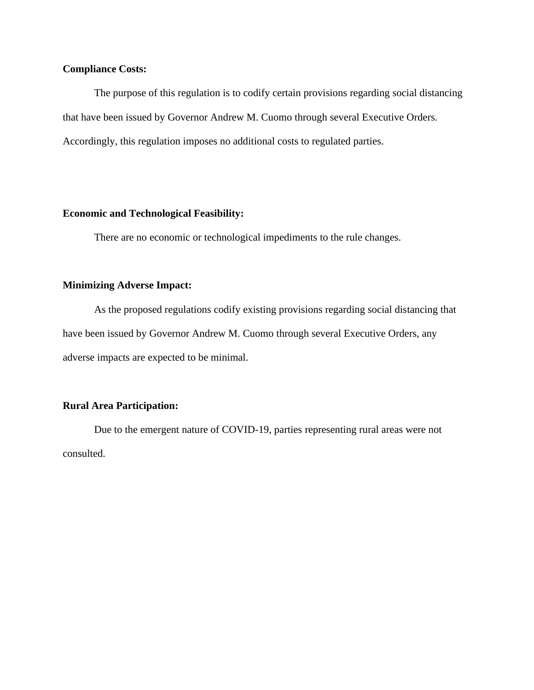## **Compliance Costs:**

The purpose of this regulation is to codify certain provisions regarding social distancing that have been issued by Governor Andrew M. Cuomo through several Executive Orders. Accordingly, this regulation imposes no additional costs to regulated parties.

## **Economic and Technological Feasibility:**

There are no economic or technological impediments to the rule changes.

## **Minimizing Adverse Impact:**

 As the proposed regulations codify existing provisions regarding social distancing that have been issued by Governor Andrew M. Cuomo through several Executive Orders, any adverse impacts are expected to be minimal.

## **Rural Area Participation:**

Due to the emergent nature of COVID-19, parties representing rural areas were not consulted.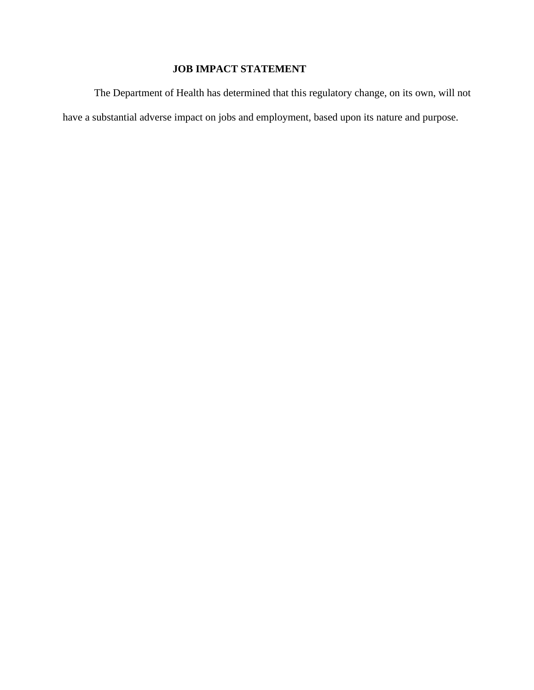# **JOB IMPACT STATEMENT**

 The Department of Health has determined that this regulatory change, on its own, will not have a substantial adverse impact on jobs and employment, based upon its nature and purpose.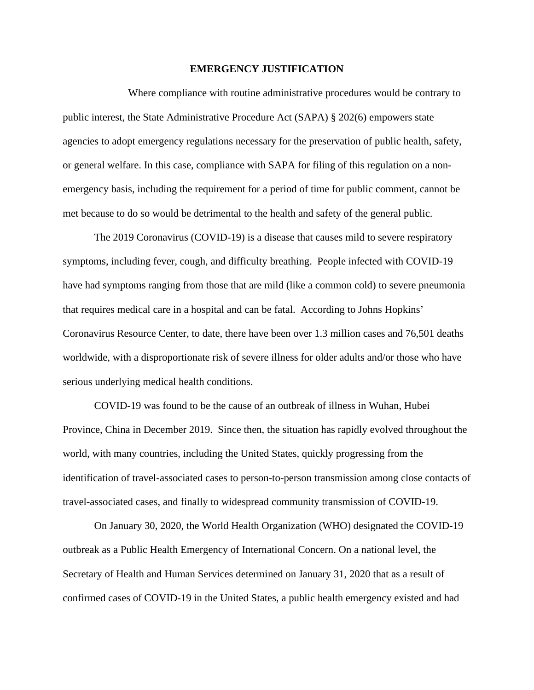#### **EMERGENCY JUSTIFICATION**

 Where compliance with routine administrative procedures would be contrary to public interest, the State Administrative Procedure Act (SAPA) § 202(6) empowers state agencies to adopt emergency regulations necessary for the preservation of public health, safety, or general welfare. In this case, compliance with SAPA for filing of this regulation on a nonemergency basis, including the requirement for a period of time for public comment, cannot be met because to do so would be detrimental to the health and safety of the general public.

The 2019 Coronavirus (COVID-19) is a disease that causes mild to severe respiratory symptoms, including fever, cough, and difficulty breathing. People infected with COVID-19 have had symptoms ranging from those that are mild (like a common cold) to severe pneumonia that requires medical care in a hospital and can be fatal. According to Johns Hopkins' Coronavirus Resource Center, to date, there have been over 1.3 million cases and 76,501 deaths worldwide, with a disproportionate risk of severe illness for older adults and/or those who have serious underlying medical health conditions.

COVID-19 was found to be the cause of an outbreak of illness in Wuhan, Hubei Province, China in December 2019. Since then, the situation has rapidly evolved throughout the world, with many countries, including the United States, quickly progressing from the identification of travel-associated cases to person-to-person transmission among close contacts of travel-associated cases, and finally to widespread community transmission of COVID-19.

On January 30, 2020, the World Health Organization (WHO) designated the COVID-19 outbreak as a Public Health Emergency of International Concern. On a national level, the Secretary of Health and Human Services determined on January 31, 2020 that as a result of confirmed cases of COVID-19 in the United States, a public health emergency existed and had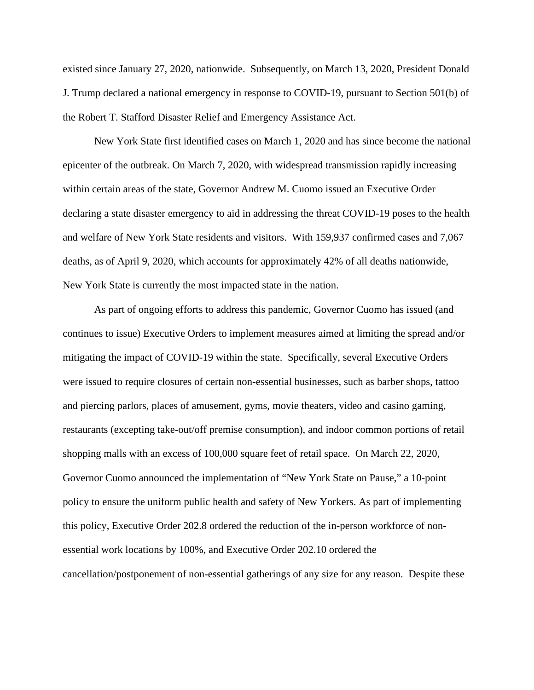existed since January 27, 2020, nationwide. Subsequently, on March 13, 2020, President Donald J. Trump declared a national emergency in response to COVID-19, pursuant to Section 501(b) of the Robert T. Stafford Disaster Relief and Emergency Assistance Act.

New York State first identified cases on March 1, 2020 and has since become the national epicenter of the outbreak. On March 7, 2020, with widespread transmission rapidly increasing within certain areas of the state, Governor Andrew M. Cuomo issued an Executive Order declaring a state disaster emergency to aid in addressing the threat COVID-19 poses to the health and welfare of New York State residents and visitors. With 159,937 confirmed cases and 7,067 deaths, as of April 9, 2020, which accounts for approximately 42% of all deaths nationwide, New York State is currently the most impacted state in the nation.

As part of ongoing efforts to address this pandemic, Governor Cuomo has issued (and continues to issue) Executive Orders to implement measures aimed at limiting the spread and/or mitigating the impact of COVID-19 within the state. Specifically, several Executive Orders were issued to require closures of certain non-essential businesses, such as barber shops, tattoo and piercing parlors, places of amusement, gyms, movie theaters, video and casino gaming, restaurants (excepting take-out/off premise consumption), and indoor common portions of retail shopping malls with an excess of 100,000 square feet of retail space. On March 22, 2020, Governor Cuomo announced the implementation of "New York State on Pause," a 10-point policy to ensure the uniform public health and safety of New Yorkers. As part of implementing this policy, Executive Order 202.8 ordered the reduction of the in-person workforce of nonessential work locations by 100%, and Executive Order 202.10 ordered the cancellation/postponement of non-essential gatherings of any size for any reason. Despite these